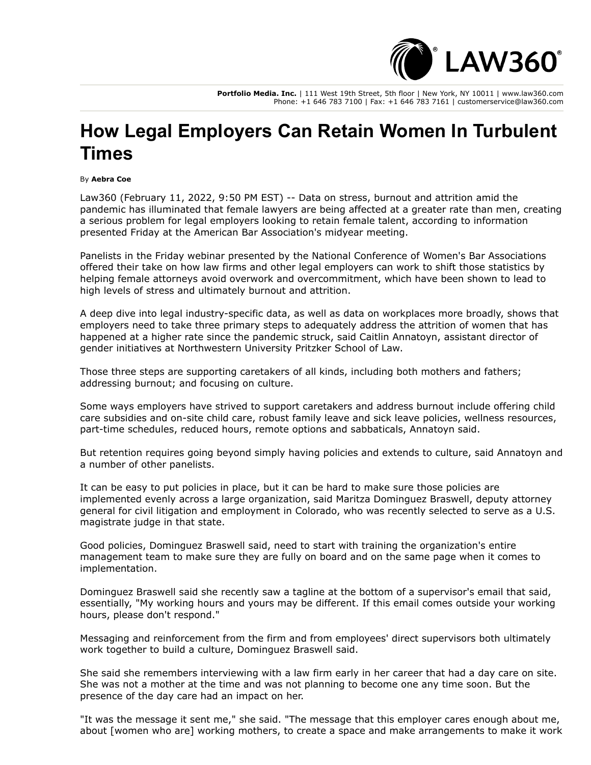

**Portfolio Media. Inc.** | 111 West 19th Street, 5th floor | New York, NY 10011 | www.law360.com Phone: +1 646 783 7100 | Fax: +1 646 783 7161 | customerservice@law360.com

## **How Legal Employers Can Retain Women In Turbulent Times**

## By **Aebra Coe**

Law360 (February 11, 2022, 9:50 PM EST) -- Data on stress, burnout and attrition amid the pandemic has illuminated that female lawyers are being affected at a greater rate than men, creating a serious problem for legal employers looking to retain female talent, according to information presented Friday at the [American Bar Association](https://www.law360.com/companies/american-bar-association)'s midyear meeting.

Panelists in the Friday webinar presented by the National Conference of Women's Bar Associations offered their take on how law firms and other legal employers can work to shift those statistics by helping female attorneys avoid overwork and overcommitment, which have been shown to lead to high levels of stress and ultimately burnout and attrition.

A deep dive into legal industry-specific data, as well as data on workplaces more broadly, shows that employers need to take three primary steps to adequately address the attrition of women that has happened at a higher rate since the pandemic struck, said Caitlin Annatoyn, assistant director of gender initiatives at Northwestern University Pritzker School of Law.

Those three steps are supporting caretakers of all kinds, including both mothers and fathers; addressing burnout; and focusing on culture.

Some ways employers have strived to support caretakers and address burnout include offering child care subsidies and on-site child care, robust family leave and sick leave policies, wellness resources, part-time schedules, reduced hours, remote options and sabbaticals, Annatoyn said.

But retention requires going beyond simply having policies and extends to culture, said Annatoyn and a number of other panelists.

It can be easy to put policies in place, but it can be hard to make sure those policies are implemented evenly across a large organization, said Maritza Dominguez Braswell, deputy attorney general for civil litigation and employment in Colorado, who was recently selected to serve as a U.S. magistrate judge in that state.

Good policies, Dominguez Braswell said, need to start with training the organization's entire management team to make sure they are fully on board and on the same page when it comes to implementation.

Dominguez Braswell said she recently saw a tagline at the bottom of a supervisor's email that said, essentially, "My working hours and yours may be different. If this email comes outside your working hours, please don't respond."

Messaging and reinforcement from the firm and from employees' direct supervisors both ultimately work together to build a culture, Dominguez Braswell said.

She said she remembers interviewing with a law firm early in her career that had a day care on site. She was not a mother at the time and was not planning to become one any time soon. But the presence of the day care had an impact on her.

"It was the message it sent me," she said. "The message that this employer cares enough about me, about [women who are] working mothers, to create a space and make arrangements to make it work